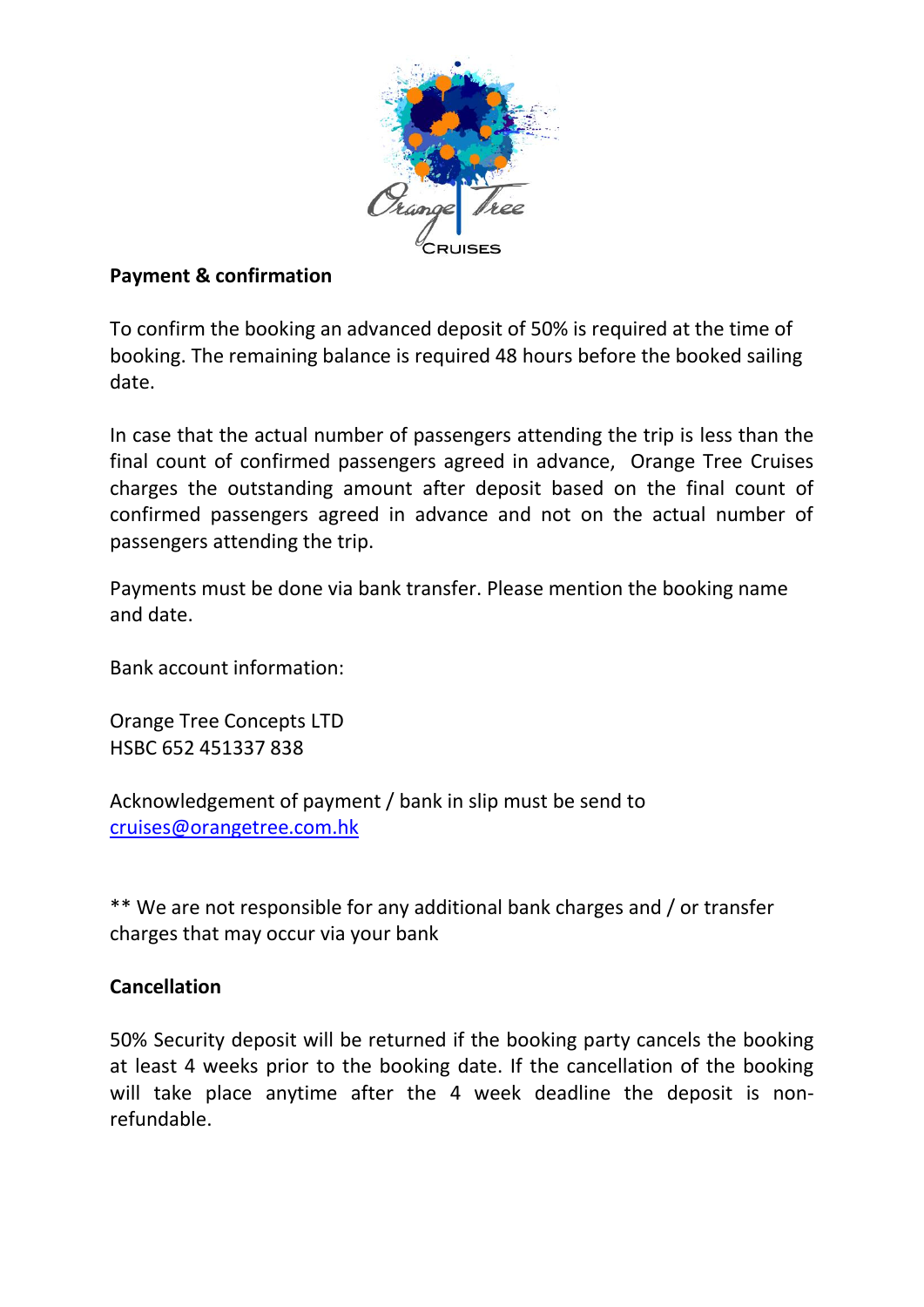

## **Payment & confirmation**

To confirm the booking an advanced deposit of 50% is required at the time of booking. The remaining balance is required 48 hours before the booked sailing date.

In case that the actual number of passengers attending the trip is less than the final count of confirmed passengers agreed in advance, Orange Tree Cruises charges the outstanding amount after deposit based on the final count of confirmed passengers agreed in advance and not on the actual number of passengers attending the trip.

Payments must be done via bank transfer. Please mention the booking name and date.

Bank account information:

Orange Tree Concepts LTD HSBC 652 451337 838

Acknowledgement of payment / bank in slip must be send to [cruises@orangetree.com.hk](mailto:cruises@orangetree.com.hk)

\*\* We are not responsible for any additional bank charges and / or transfer charges that may occur via your bank

## **Cancellation**

50% Security deposit will be returned if the booking party cancels the booking at least 4 weeks prior to the booking date. If the cancellation of the booking will take place anytime after the 4 week deadline the deposit is nonrefundable.